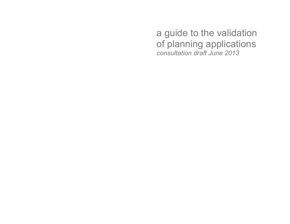a guide to the validation of planning applications consultation draft June 2013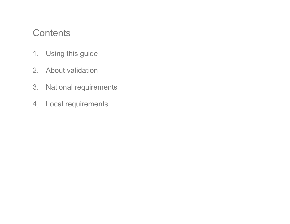# **Contents**

- 1. Using this guide
- 2. About validation
- 3. National requirements
- 4, Local requirements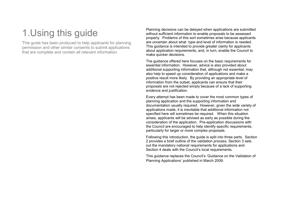# 1.Using this guide

This guide has been produced to help applicants for planning permission and other similar consents to submit applications that are complete and contain all relevant information.

Planning decisions can be delayed when applications are submitted without sufficient information to enable proposals to be assessed properly. Problems of this sort sometimes arise because applicants are uncertain about what type and level of information is needed. This guidance is intended to provide greater clarity for applicants about application requirements, and, in turn, enable the Council to make quicker decisions.

The guidance offered here focuses on the basic requirements for essential information. However, advice is also provided about additional supporting information that, although not essential, may also help to speed up consideration of applications and make a positive result more likely. By providing an appropriate level of information from the outset, applicants can ensure that their proposals are not rejected simply because of a lack of supporting evidence and justification.

Every attempt has been made to cover the most common types of planning application and the supporting information and documentation usually required. However, given the wide variety of applications made, it is inevitable that additional information not specified here will sometimes be required. When this situation arises, applicants will be advised as early as possible during the consideration of the application. Pre-application discussions with the Council are encouraged to help identify specific requirements, particularly for larger or more complex proposals.

Following this introduction, the guide is split into three parts. Section 2 provides a brief outline of the validation process, Section 3 sets out the mandatory national requirements for applications and Section 4 deals with the Council's local requirements.

This guidance replaces the Council's 'Guidance on the Validation of Planning Applications' published in March 2009.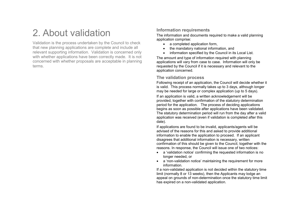# 2. About validation

Validation is the process undertaken by the Council to check that new planning applications are complete and include all relevant supporting information. Validation is concerned only with whether applications have been correctly made. It is not concerned with whether proposals are acceptable in planning terms.

# Information requirements

The information and documents required to make a valid planning application comprise:

- a completed application form,
- the mandatory national information, and
- information specified by the Council in its Local List.

The amount and type of information required with planning applications will vary from case to case. Information will only be requested by the Council if it is necessary and relevant to the application concerned.

## The validation process

Following receipt of an application, the Council will decide whether it is valid. This process normally takes up to 3 days, although longer may be needed for large or complex application (up to 5 days).

If an application is valid, a written acknowledgement will be provided, together with confirmation of the statutory determination period for the application. The process of deciding applications begins as soon as possible after applications have been validated. The statutory determination period will run from the day after a valid application was received (even if validation is completed after this date).

If applications are found to be invalid, applicants/agents will be advised of the reasons for this and asked to provide additional information to enable the application to proceed. If an applicant disagrees that additional information is necessary, written confirmation of this should be given to the Council, together with the reasons. In response, the Council will issue one of two notices:

- a 'validation notice' confirming the requested information is no longer needed, or
- a 'non-validation notice' maintaining the requirement for more information.

 If a non-validated application is not decided within the statutory time limit (normally 8 or 13 weeks), then the Applicants may lodge an appeal on grounds of non-determination once the statutory time limit has expired on a non-validated application.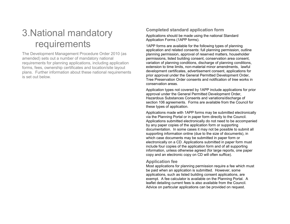# 3.National mandatory requirements

The Development Management Procedure Order 2010 (asamended) sets out a number of mandatory national requirements for planning applications, including application forms, fees, ownership certificates and location/site layout plans. Further information about these national requirements is set out below.

## Completed standard application form

Applications should be made using the national Standard Application Forms (1APP forms).

1APP forms are available for the following types of planning application and related consents: full planning permission, outline planning permission, approval of reserved matters, householder permissions, listed building consent, conservation area consent, variation of planning conditions, discharge of planning conditions, extension to time limits, non-material minor amendments, lawful development certificates, advertisement consent, applications for prior approval under the General Permitted Development Order, Tree Preservation Order consents and notification of tree works in conservation areas.

Application types not covered by 1APP include applications for prior approval under the General Permitted Development Order, Hazardous Substances Consents and variations/discharge of section 106 agreements. Forms are available from the Council for these types of application.

Applications made with 1APP forms may be submitted electronically via the Planning Portal or in paper form directly to the Council. Applications submitted electronically do not need to be accompanied by any paper copies of the application form or supporting documentation. In some cases it may not be possible to submit all supporting information online (due to the size of documents), in which case documents may be submitted in paper form or electronically on a CD. Applications submitted in paper form must include four copies of the application form and of all supporting information, unless otherwise agreed (for large reports, one paper copy and an electronic copy on CD will often suffice).

#### Application fee

 Most applications for planning permission require a fee which must be paid when an application is submitted. However, some applications, such as listed building consent applications, are exempt. A fee calculator is available on the Planning Portal. A leaflet detailing current fees is also available from the Council. Advice on particular applications can be provided on request.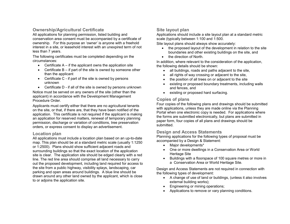## Ownership/Agricultural Certificate

 All applications for planning permission, listed building and conservation area consent must be accompanied by a certificate of ownership. For this purpose an 'owner' is anyone with a freehold interest in a site, or leasehold interest with an unexpired term of not less than 7 years.

The following certificates must be completed depending on the circumstances:

- Certificate  $A if$  the applicant owns the application site
- Certificate B if part of the site is owned by someone other than the applicant
- Certificate C if part of the site is owned by persons unknown
- Certificate D if all of the site is owned by persons unknown Notice must be served on any owners of the site (other than the applicant) in accordance with the Development Management Procedure Order.

Applicants must certify either that there are no agricultural tenants on the site, or that, if there are, that they have been notified of the application. This certificate is not required if the applicant is making an application for reserved matters, renewal of temporary planning permission, discharge or variation of conditions, tree preservation orders, or express consent to display an advertisement.

## Location plan

 All applications must include a location plan based on an up-to-date map. This plan should be at a standard metric scale (usually 1:1250 or 1:2500). Plans should show sufficient adjacent roads and surrounding buildings so that the exact location of the application site is clear. The application site should be edged clearly with a red line. The red line area should comprise all land necessary to carry out the proposed development, including land required for access to the site from a public highway, visibility splays, landscaping, car parking and open areas around buildings. A blue line should be drawn around any other land owned by the applicant, which is close to or adjoins the application site.

## Site layout plan

 Applications should include a site layout plan at a standard metric scale (typically between 1:100 and 1:500.

Site layout plans should always show accurately:

- the proposed layout of the development in relation to the site boundaries and other existing buildings on the site, and
- the direction of North.

In addition, where relevant to the consideration of the application, the following details should be shown:

- all buildings, roads and paths adjacent to the site,
- all rights of way crossing or adjacent to the site,
- the position of all trees on or adjacent to the site
- existing or proposed boundary treatments, including walls and fences, and
- existing or proposed hard surfacing.

## Copies of plans

 Four copies of the following plans and drawings should be submitted with applications, unless they are made online via the Planning Portal when one electronic copy is needed. For applications where the forms are submitted electronically, but plans are submitted in paper form, four copies of all plans and drawings should be submitted.

#### Design and Access Statements

 Planning applications for the following types of proposal must be accompanied by a Design & Statement:

- Major developments\*
- One or more dwellings in a Conservation Area or World Heritage Site
- Buildings with a floorspace of 100 square metres or more in a Conservation Area or World Heritage Site.

Design and Access Statements are not required in connection with the following types of development:

- A change of use of land or buildings, (unless it also involves external building works);
- Engineering or mining operations;
- Applications to remove or vary planning conditions.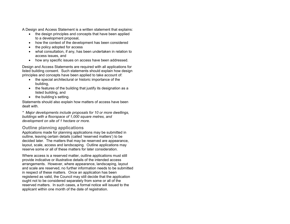A Design and Access Statement is a written statement that explains:

- the design principles and concepts that have been applied to a development proposal,
- how the context of the development has been considered
- the policy adopted for access
- what consultation, if any, has been undertaken in relation to access issues, and
- how any specific issues on access have been addressed.

Design and Access Statements are required with all applications for listed building consent. Such statements should explain how design principles and concepts have been applied to take account of:

- the special architectural or historic importance of the building,
- the features of the building that justify its designation as a listed building, and
- the building's setting.

Statements should also explain how matters of access have been dealt with.

\* Major developments include proposals for 10 or more dwellings, buildings with a floorspace of 1,000 square metres, and development on site of 1 hectare or more.

## Outline planning applications

 Applications made for planning applications may be submitted in outline, leaving certain details (called 'reserved matters') to be decided later. The matters that may be reserved are appearance, layout, scale, access and landscaping. Outline applications may reserve some or all of these matters for later consideration.

Where access is a reserved matter, outline applications must still provide indicative or illustrative details of the intended access arrangements. However, where appearance, landscaping, layout and scale are reserved, no further information needs to be submitted in respect of these matters. Once an application has been registered as valid, the Council may still decide that the application ought not to be considered separately from some or all of the reserved matters. In such cases, a formal notice will issued to the applicant within one month of the date of registration.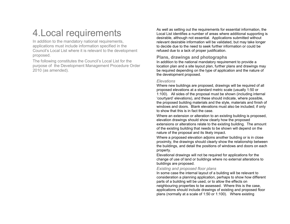# 4.Local requirements

 In addition to the mandatory national requirements, applications must include information specified in the Council's Local List where it is relevant to the development proposed.

The following constitutes the Council's Local List for the purpose of the Development Management Procedure Order 2010 (as amended).

As well as setting out the requirements for essential information, the Local List identifies a number of areas where additional supporting is desirable, although not essential. Applications submitted without relevant desirable information will be validated, but may take longer to decide due to the need to seek further information or could be refused due to a lack of proper justification.

## Plans, drawings and photographs

 In addition to the national mandatory requirement to provide a location plan and a site layout plan, further plans and drawings may be required depending on the type of application and the nature of the development proposed.

#### **Flevations**

 Where new buildings are proposed, drawings will be required of all proposed elevations at a standard metric scale (usually 1:50 or 1:100). All sides of the proposal must be shown (including internal 'courtyard' elevations), and these should indicate, where possible, the proposed building materials and the style, materials and finish of windows and doors. Blank elevations must also be included; if only to show that this is in fact the case.

Where an extension or alteration to an existing building is proposed, elevation drawings should show clearly how the proposed extensions or alterations relate to the existing building. The amount of the existing building that needs to be shown will depend on the nature of the proposal and its likely impact.

Where a proposed elevation adjoins another building or is in close proximity, the drawings should clearly show the relationship between the buildings, and detail the positions of windows and doors on each property.

Elevational drawings will not be required for applications for the change of use of land or buildings where no external alterations to buildings are proposed.

## Existing and proposed floor plans

 In some case the internal layout of a building will be relevant to consideration a planning application, perhaps to show how different parts of a building will be used, or to allow the effects on neighbouring properties to be assessed. Where this is the case, applications should include drawings of existing and proposed floor plans (normally at a scale of 1:50 or 1:100). Where existing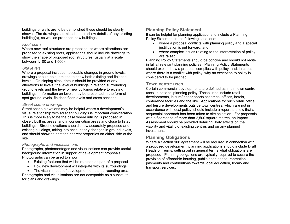buildings or walls are to be demolished these should be clearly shown. The drawings submitted should show details of any existing building(s), as well as proposed new buildings.

#### Roof plans

 Where new roof structures are proposed, or where alterations are proposed to existing roofs, applications should include drawings to show the shape of proposed roof structures (usually at a scale between 1:100 and 1:500).

#### Site levels

 Where a proposal includes noticeable changes in ground levels, drawings should be submitted to show both existing and finished levels. On sloping sites, details should be provided of any alterations to levels, the level of buildings in relation surrounding ground levels and the level of new buildings relative to existing buildings. Information on levels may be presented in the form of spot ground levels, finished floor levels and cross sections.

#### Street scene drawings

 Street scene elevations may be helpful where a development's visual relationship with adjacent buildings is important consideration. This is more likely to be the case where infilling is proposed in closely built up areas, and in conservation areas and close to listed buildings. Street elevations should show accurately proposed and existing buildings, taking into account any changes in ground levels, and should show at least the nearest properties on either side of the site.

#### Photographs and visualisations

 Photographs, photomontages and visualisations can provide useful background information in support of development proposals. Photographs can be used to show:

- Existing features that will be retained as part of a proposal
- How new development will integrate with its surroundings
- The visual impact of development on the surrounding area.

Photographs and visualisations are not acceptable as a substitute for plans and drawings.

## Planning Policy Statement

 It can be helpful for planning applications to include a Planning Policy Statement in the following situations:

- where a proposal conflicts with planning policy and a special justification is put forward, and
- where complex issues relating to the interpretation of policy are raised.

 Planning Policy Statements should be concise and should not recite in full all relevant planning policies. Planning Policy Statements should explain how a proposal complies with policy, and, in cases where there is a conflict with policy, why an exception to policy is considered to be justified.

#### Town centre uses

 Certain commercial developments are defined as 'main town centre uses' in national planning policy. These uses include retail developments, leisure/indoor sports schemes, offices, hotels, conference facilities and the like. Applications for such retail, office and leisure developments outside town centres, which are not in accordance with local policy, should include a report to show that a sequential approach has been taken to site selection. For proposals with a floorspace of more than 2,500 square metres, an Impact Assessment should be provided detailing likely effects on the viability and vitality of existing centres and on any planned investment.

## Planning Obligations

 Where a Section 106 agreement will be required in connection with a proposed development, planning applications should include Draft Heads of Terms, setting out in general terms what obligations are proposed. Planning obligations are typically required to secure the provision of affordable housing, public open space, recreation payments and contributions towards local education, library and transport services.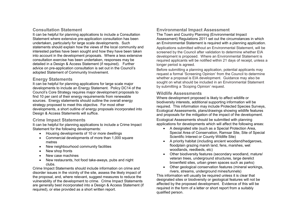## Consultation Statement

 It can be helpful for planning applications to include a Consultation Statement where extensive pre-application consultation has been undertaken, particularly for large scale developments. Such statements should explain how the views of the local community and interested parties have been sought and how they have been taken into account in the development proposals. Where a less extensive consultation exercise has been undertaken, responses may be detailed in a Design & Access Statement (if required). Further advice on pre-application consultation is set out in the Council's adopted Statement of Community Involvement.

## Energy Statements

 It can be helpful for planning applications for large scale major developments to include an Energy Statement. Policy DC14 of the Council's Core Strategy requires major development proposals to find 10 per cent of their energy requirements from renewable sources. Energy statements should outline the overall energy strategy proposed to meet this objective. For most other developments, a short outline of energy proposals incorporated into Design & Access Statements will suffice.

#### Crime Impact Statements

 It can be helpful for planning applications to include a Crime Impact Statement for the following developments:

- Housing developments of 10 or more dwellings
- Commercial developments of more than 1,000 square metres
- New neighbourhood community facilities
- New shop fronts
- New case machines
- New restaurants, hot food take-aways, pubs and night clubs.

 Crime Impact Statements should include information on crime and disorder issues in the vicinity of the site, assess the likely impact of the proposal, and, where relevant, suggest measures to reduce the vulnerability of the development to crime. Crime Impact Statements are generally best incorporated into a Design & Access Statement (if required), or else provided as a short written report.

# Environmental Impact Assessment

 The Town and Country Planning (Environmental Impact Assessment) Regulations 2011 set out the circumstances in which an Environmental Statement is required with a planning application. Applications submitted without an Environmental Statement, will be screened by the Council after validation to determine whether EIA development is proposed. Where an Environmental Statement is required applicants will be notified within 21 days of receipt, unless a longer period is agreed.

Before submitting a planning application, potential applicants may request a formal 'Screening Opinion' from the Council to determine whether a proposal is EIA development. Guidance may also be sought on what should be included in an Environmental Statement by submitting a 'Scoping Opinion' request.

#### Wildlife Assessments

 Where development proposed is likely to affect wildlife or biodiversity interests, additional supporting information will be required. This information may include Protected Species Surveys, Ecological Assessments, plans/drawings showing wildlife features and proposals for the mitigation of the impact of the development.

Ecological Assessments should be submitted with planning applications for developments which will affect the following areas:

- A designated site (such as a Special Protection Area, Special Area of Conservation, Ramsar Site, Site of Special Scientific Interest or County Wildlife Site)
- A priority habitat (including ancient woodland/hedgerows, floodplain grazing marsh land, fens, marshes, wet woodlands, reedbeds, etc)
- Other biodiversity features (secondary woodland, mature/veteran trees, underground structures, large derelict brownfield sites, urban green spaces such as parks)
- Other geological conservation features (mineral workings, rivers, streams, underground mines/tunnels)

 This information will usually be required unless it is clear that designated sites or biodiversity or geological features will not be affected by the proposed development. Evidence of this will be required in the form of a letter or short report from a suitably qualified person.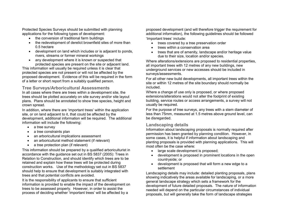Protected Species Surveys should be submitted with planning applications for the following types of development:

- the conversion of traditional farm buildings
- the redevelopment of derelict brownfield sites of more than 0.5 hectare
- development on land which includes or is adjacent to ponds, rivers, streams or former mineral workings
- any development where it is known or suspected that protected species are present on the site or adjacent land.

This information will usually be required unless it is clear that protected species are not present or will not be affected by the proposed development. Evidence of this will be required in the form of a letter or short report from a suitably qualified person.

#### Tree Surveys/Arboricultural Assessments

 In all cases where there are trees within a development site, the trees should be plotted accurately on site survey and/or site layout plans. Plans should be annotated to show tree species, height and crown spread.

In addition, where there are 'important trees' within the application site, or on land adjacent to it, that could be affected by the development, additional information will be required. The additional information will include the following:

- a tree survey
- a tree constraints plan
- an arboricultural implications assessment
- an arboricultural method statement (if relevant)
- a tree protection plan (if relevant)

This information should be prepared by a qualified arboriculturist in accordance with the guidance set out in BS 5837 (2005): Trees in Relation to Construction, and should identify which trees are to be retained and explain how these trees will be protected during construction works. Use of the methodology set out in BS 5837 should help to ensure that development is suitably integrated with trees and that potential conflicts are avoided.

It is the responsibility of applicants to ensure that sufficient information is provided to enable the impact of the development on trees to be assessed properly. However, in order to assist the process of deciding whether 'important trees' will be affected by a

proposed development (and will therefore trigger the requirement for additional information), the following guidelines should be followed 'Important trees' include:

- trees covered by a tree preservation order
- trees within a conservation area
- trees that are of amenity, landscape and/or heritage value due to their size, location and/or species.

Where alterations/extensions are proposed to residential properties, all important trees with 12 metres of any new buildings, new underground services or new accesses should be included in surveys/assessments.

For all other new build developments, all important trees within the site or within 12 metres of the site boundary should normally be included.

Where a change of use only is proposed, or where proposed extensions/alterations would not alter the footprint of existing building, service routes or access arrangements, a survey will not usually be required.

 For the purpose of tree surveys, any trees with a stem diameter of less than 75mm, measured at 1.5 metres above ground level, can be disregarded.

## Landscaping details

 Information about landscaping proposals is normally required after permission has been granted by planning condition. However, in some cases, it is helpful if information about landscaping and planting proposals is provided with planning applications. This will most often be the case where:

- large scale development is proposed;
- development is proposed in prominent locations in the open countryside; or
- development is proposed that will form a new edge to a settlement

Landscaping details may include: detailed planting proposals, plans showing indicatively the areas available for landscaping, or a more general landscape strategy which sets a framework for the development of future detailed proposals. The nature of information needed will depend on the particular circumstances of individual proposals, but will generally take the form of landscape strategies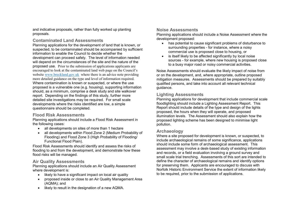and indicative proposals, rather than fully worked up planting proposals.

#### Contaminated Land Assessments

 Planning applications for the development of land that is known, or suspected, to be contaminated should be accompanied by sufficient information to enable the Council to decide whether the development can proceed safely. The level of information needed will depend on the circumstances of the site and the nature of the proposed use. Prior to the submission of applications applicants are encouraged to look at the contaminated land web page on the Council's website www.breckland.gov.uk where there is an advice note providing more detailed guidance on the type and level of information required. Where contamination is known or suspected, or where the use proposed is a vulnerable one (e.g. housing), supporting information should, as a minimum, comprise a desk study and site walkover report. Depending on the findings of this study, further more detailed site investigations may be required. For small scale developments where the risks identified are low, a simple questionnaire should be completed.

#### Flood Risk Assessments

 Planning applications should include a Flood Risk Assessment in the following cases:

- all developments on sites of more than 1 hectare
- all developments within Flood Zone 2 (Medium Probability of Flooding) and Flood Zone 3 (High Probability of Flooding/Functional Flood Plain).

Flood Risk Assessments should identify and assess the risks of flooding to and from the development, and demonstrate how these flood risks will be managed.

## Air Quality Assessments

 Planning applications should include an Air Quality Assessment where development is:

- likely to have a significant impact on local air quality
- proposed inside or close to an Air Quality Management Area (AQMA); and
- likely to result in the designation of a new AQMA.

## Noise Assessments

 Planning applications should include a Noise Assessment where the development proposed:

- has potential to cause significant problems of disturbance to surrounding properties - for instance, where a noisy commercial use is proposed close to housing, or
- is itself likely to be affected significantly by local noise sources - for example, where new housing is proposed close to a busy major road or noisy commercial activities.

Noise Assessments should evaluate the likely impact of noise from or on the development, and, where appropriate, outline proposed mitigation measures. Assessments should be prepared by suitably qualified persons, and take into account all relevant technical guidance.

## Lighting Assessments

 Planning applications for development that include commercial scale floodlighting should include a Lighting Assessment Report. This Report should include details of the type and design of the lights proposed, the hours when they will operate, and proposed illumination levels. The Assessment should also explain how the proposed lighting scheme has been designed to minimise light pollution.

## Archaeology

 Where a site proposed for development is known, or suspected, to include archaeological remains of some significance, applications should include some form of archaeological assessment. This assessment may involve a desk-based study of existing information and records, or a field evaluation involving a ground survey and small scale trial trenching. Assessments of this sort are intended to define the character of archaeological remains and identify options for preserving them. Applicants are encouraged to discuss with Norfolk Historic Environment Service the extent of information likely to be required, prior to the submission of applications.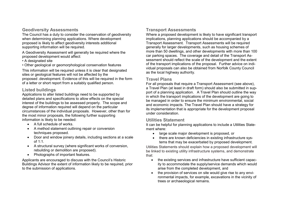## Geodiversity Assessments

 The Council has a duty to consider the conservation of geodiversity when determining planning applications. Where development proposed is likely to affect geodiversity interests additional supporting information will be required.

A Geodiversity Assessment will generally be required where the proposed development would affect:

• A designated site

• Other geological or geomorphological conservation features

This information will be required unless it is clear that designated sites or geological features will not be affected by the proposed .development. Evidence of this will be required in the form of a letter or short report from a suitably qualified person.

#### Listed buildings

 Applications to alter listed buildings need to be supported by detailed plans and specifications to allow effects on the special interest of the buildings to be assessed properly. The scope and degree of information required will depend on the particular circumstances of the individual proposals. However, other than for the most minor proposals, the following further supporting information is likely to be needed:

- A full schedule of works.
- A method statement outlining repair or conversion techniques proposed.
- Door and window joinery details, including sections at a scale of 1:1.
- A structural survey (where significant works of conversion, rebuilding or demolition are proposed).
- Photographs of important features.

Applicants are encouraged to discuss with the Council's Historic Buildings Advisor the extent of information likely to be required, prior to the submission of applications.

## Transport Assessments

 Where a proposed development is likely to have significant transport implications, planning applications should be accompanied by a Transport Assessment. Transport Assessments will be required generally for larger developments, such as housing schemes of more than 50 dwellings, and other developments with more than 100 car parking spaces. The coverage and detail of the Transport Assessment should reflect the scale of the development and the extent of the transport implications of the proposal. Further advice on individual proposals can also be obtained from Norfolk County Council as the local highway authority.

#### Travel Plans

 For all proposals that require a Transport Assessment (see above), a Travel Plan (at least in draft form) should also be submitted in support of a planning application. A Travel Plan should outline the way in which the transport implications of the development are going to be managed in order to ensure the minimum environmental, social and economic impacts. The Travel Plan should have a strategy for its implementation that is appropriate for the development proposal under consideration.

#### Utilities Statement

 It can be helpful for planning applications to include a Utilities Statement where:

- large scale major development is proposed, or
- there are known deficiencies in existing infrastructure systems that may be exacerbated by proposed development.

Utilities Statements should explain how a proposed development will be linked to existing utility infrastructure systems, and demonstrate that:

- the existing services and infrastructure have sufficient capacity to accommodate the supply/service demands which would arise from the completed development, and
- the provision of services on site would give rise to any environmental impacts, for example, excavations in the vicinity of trees or archaeological remains.